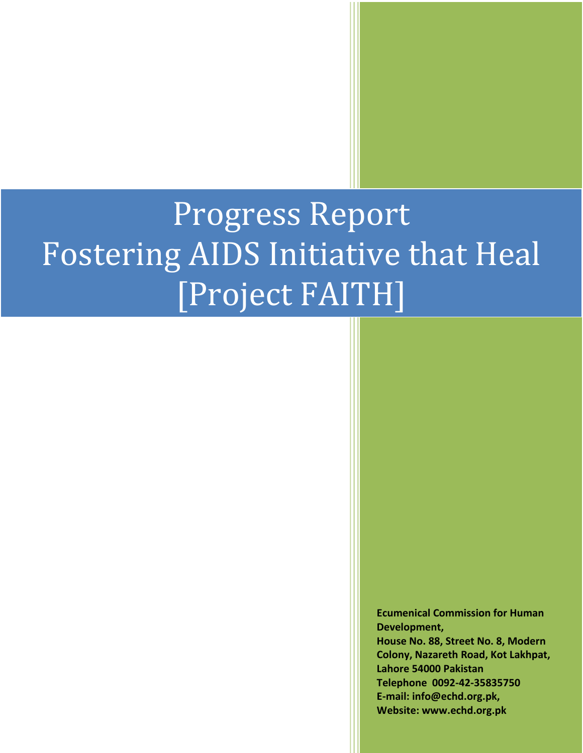# Progress Report Fostering AIDS Initiative that Heal [Project FAITH]

**Ecumenical Commission for Human Development, House No. 88, Street No. 8, Modern Colony, Nazareth Road, Kot Lakhpat, Lahore 54000 Pakistan Telephone 0092-42-35835750 E-mail: info@echd.org.pk, Website: www.echd.org.pk**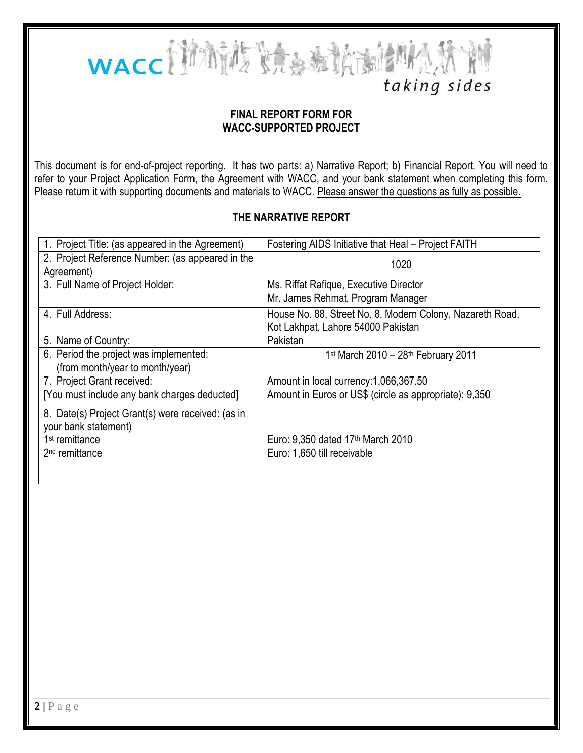

# taking sides

#### **FINAL REPORT FORM FOR WACC-SUPPORTED PROJECT**

This document is for end-of-project reporting. It has two parts: a) Narrative Report; b) Financial Report. You will need to refer to your Project Application Form, the Agreement with WACC, and your bank statement when completing this form. Please return it with supporting documents and materials to WACC. Please answer the questions as fully as possible.

#### **THE NARRATIVE REPORT**

| 1. Project Title: (as appeared in the Agreement)                                                                                      | Fostering AIDS Initiative that Heal - Project FAITH                                             |  |
|---------------------------------------------------------------------------------------------------------------------------------------|-------------------------------------------------------------------------------------------------|--|
| 2. Project Reference Number: (as appeared in the<br>Agreement)                                                                        | 1020                                                                                            |  |
| 3. Full Name of Project Holder:                                                                                                       | Ms. Riffat Rafique, Executive Director<br>Mr. James Rehmat, Program Manager                     |  |
| 4. Full Address:                                                                                                                      | House No. 88, Street No. 8, Modern Colony, Nazareth Road,<br>Kot Lakhpat, Lahore 54000 Pakistan |  |
| 5. Name of Country:                                                                                                                   | Pakistan                                                                                        |  |
| 6. Period the project was implemented:<br>(from month/year to month/year)                                                             | 1 <sup>st</sup> March 2010 - 28 <sup>th</sup> February 2011                                     |  |
| 7. Project Grant received:                                                                                                            | Amount in local currency: 1,066,367.50                                                          |  |
| [You must include any bank charges deducted]                                                                                          | Amount in Euros or US\$ (circle as appropriate): 9,350                                          |  |
| 8. Date(s) Project Grant(s) were received: (as in<br>your bank statement)<br>1 <sup>st</sup> remittance<br>2 <sup>nd</sup> remittance | Euro: 9,350 dated 17 <sup>th</sup> March 2010<br>Euro: 1,650 till receivable                    |  |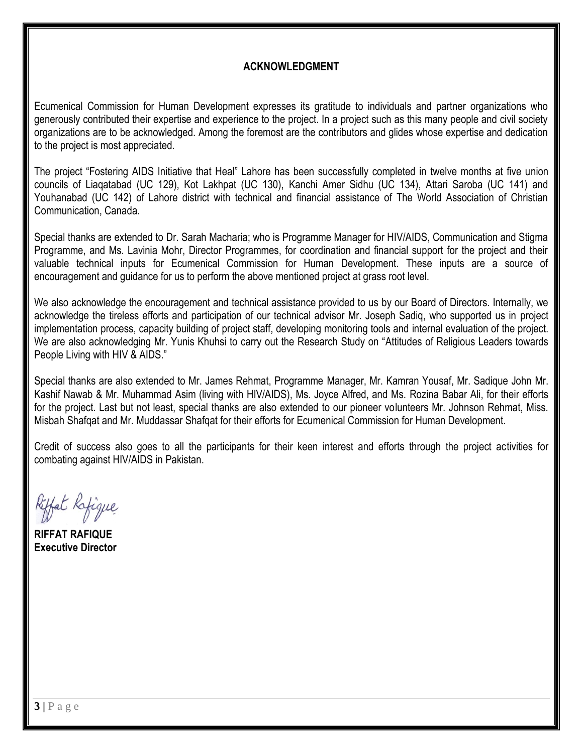# **ACKNOWLEDGMENT**

Ecumenical Commission for Human Development expresses its gratitude to individuals and partner organizations who generously contributed their expertise and experience to the project. In a project such as this many people and civil society organizations are to be acknowledged. Among the foremost are the contributors and glides whose expertise and dedication to the project is most appreciated.

The project "Fostering AIDS Initiative that Heal" Lahore has been successfully completed in twelve months at five union councils of Liaqatabad (UC 129), Kot Lakhpat (UC 130), Kanchi Amer Sidhu (UC 134), Attari Saroba (UC 141) and Youhanabad (UC 142) of Lahore district with technical and financial assistance of The World Association of Christian Communication, Canada.

Special thanks are extended to Dr. Sarah Macharia; who is Programme Manager for HIV/AIDS, Communication and Stigma Programme, and Ms. Lavinia Mohr, Director Programmes, for coordination and financial support for the project and their valuable technical inputs for Ecumenical Commission for Human Development. These inputs are a source of encouragement and guidance for us to perform the above mentioned project at grass root level.

We also acknowledge the encouragement and technical assistance provided to us by our Board of Directors. Internally, we acknowledge the tireless efforts and participation of our technical advisor Mr. Joseph Sadiq, who supported us in project implementation process, capacity building of project staff, developing monitoring tools and internal evaluation of the project. We are also acknowledging Mr. Yunis Khuhsi to carry out the Research Study on "Attitudes of Religious Leaders towards People Living with HIV & AIDS."

Special thanks are also extended to Mr. James Rehmat, Programme Manager, Mr. Kamran Yousaf, Mr. Sadique John Mr. Kashif Nawab & Mr. Muhammad Asim (living with HIV/AIDS), Ms. Joyce Alfred, and Ms. Rozina Babar Ali, for their efforts for the project. Last but not least, special thanks are also extended to our pioneer volunteers Mr. Johnson Rehmat, Miss. Misbah Shafqat and Mr. Muddassar Shafqat for their efforts for Ecumenical Commission for Human Development.

Credit of success also goes to all the participants for their keen interest and efforts through the project activities for combating against HIV/AIDS in Pakistan.

Riffat Rafigue

**RIFFAT RAFIQUE Executive Director**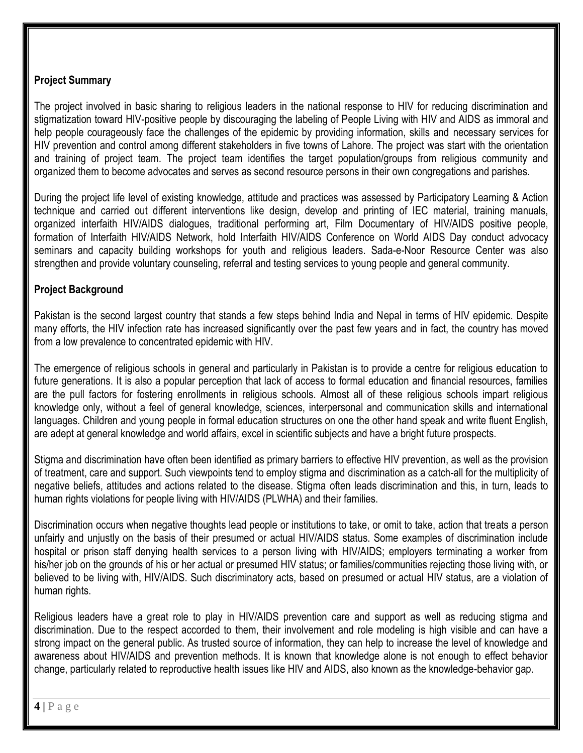#### **Project Summary**

The project involved in basic sharing to religious leaders in the national response to HIV for reducing discrimination and stigmatization toward HIV-positive people by discouraging the labeling of People Living with HIV and AIDS as immoral and help people courageously face the challenges of the epidemic by providing information, skills and necessary services for HIV prevention and control among different stakeholders in five towns of Lahore. The project was start with the orientation and training of project team. The project team identifies the target population/groups from religious community and organized them to become advocates and serves as second resource persons in their own congregations and parishes.

During the project life level of existing knowledge, attitude and practices was assessed by Participatory Learning & Action technique and carried out different interventions like design, develop and printing of IEC material, training manuals, organized interfaith HIV/AIDS dialogues, traditional performing art, Film Documentary of HIV/AIDS positive people, formation of Interfaith HIV/AIDS Network, hold Interfaith HIV/AIDS Conference on World AIDS Day conduct advocacy seminars and capacity building workshops for youth and religious leaders. Sada-e-Noor Resource Center was also strengthen and provide voluntary counseling, referral and testing services to young people and general community.

#### **Project Background**

Pakistan is the second largest country that stands a few steps behind India and Nepal in terms of HIV epidemic. Despite many efforts, the HIV infection rate has increased significantly over the past few years and in fact, the country has moved from a low prevalence to concentrated epidemic with HIV.

The emergence of religious schools in general and particularly in Pakistan is to provide a centre for religious education to future generations. It is also a popular perception that lack of access to formal education and financial resources, families are the pull factors for fostering enrollments in religious schools. Almost all of these religious schools impart religious knowledge only, without a feel of general knowledge, sciences, interpersonal and communication skills and international languages. Children and young people in formal education structures on one the other hand speak and write fluent English, are adept at general knowledge and world affairs, excel in scientific subjects and have a bright future prospects.

Stigma and discrimination have often been identified as primary barriers to effective HIV prevention, as well as the provision of treatment, care and support. Such viewpoints tend to employ stigma and discrimination as a catch-all for the multiplicity of negative beliefs, attitudes and actions related to the disease. Stigma often leads discrimination and this, in turn, leads to human rights violations for people living with HIV/AIDS (PLWHA) and their families.

Discrimination occurs when negative thoughts lead people or institutions to take, or omit to take, action that treats a person unfairly and unjustly on the basis of their presumed or actual HIV/AIDS status. Some examples of discrimination include hospital or prison staff denying health services to a person living with HIV/AIDS; employers terminating a worker from his/her job on the grounds of his or her actual or presumed HIV status; or families/communities rejecting those living with, or believed to be living with, HIV/AIDS. Such discriminatory acts, based on presumed or actual HIV status, are a violation of human rights.

Religious leaders have a great role to play in HIV/AIDS prevention care and support as well as reducing stigma and discrimination. Due to the respect accorded to them, their involvement and role modeling is high visible and can have a strong impact on the general public. As trusted source of information, they can help to increase the level of knowledge and awareness about HIV/AIDS and prevention methods. It is known that knowledge alone is not enough to effect behavior change, particularly related to reproductive health issues like HIV and AIDS, also known as the knowledge-behavior gap.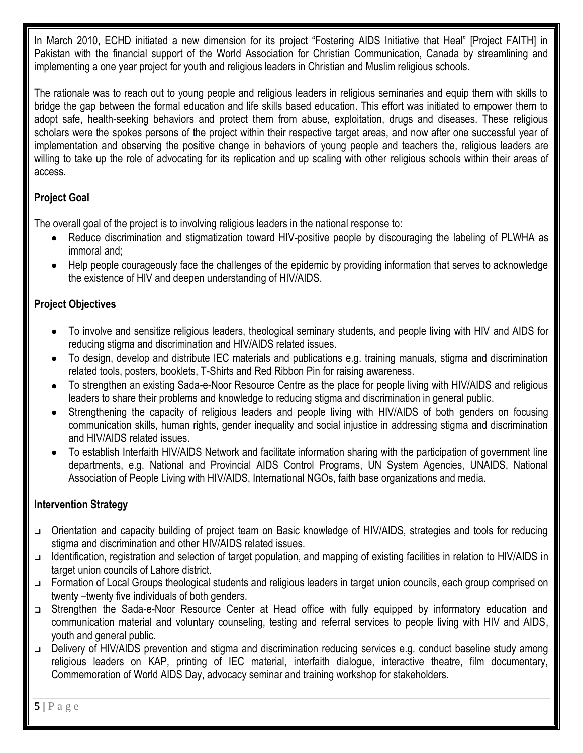In March 2010, ECHD initiated a new dimension for its project "Fostering AIDS Initiative that Heal" [Project FAITH] in Pakistan with the financial support of the World Association for Christian Communication, Canada by streamlining and implementing a one year project for youth and religious leaders in Christian and Muslim religious schools.

The rationale was to reach out to young people and religious leaders in religious seminaries and equip them with skills to bridge the gap between the formal education and life skills based education. This effort was initiated to empower them to adopt safe, health-seeking behaviors and protect them from abuse, exploitation, drugs and diseases. These religious scholars were the spokes persons of the project within their respective target areas, and now after one successful year of implementation and observing the positive change in behaviors of young people and teachers the, religious leaders are willing to take up the role of advocating for its replication and up scaling with other religious schools within their areas of access.

# **Project Goal**

The overall goal of the project is to involving religious leaders in the national response to:

- Reduce discrimination and stigmatization toward HIV-positive people by discouraging the labeling of PLWHA as immoral and;
- Help people courageously face the challenges of the epidemic by providing information that serves to acknowledge the existence of HIV and deepen understanding of HIV/AIDS.

# **Project Objectives**

- To involve and sensitize religious leaders, theological seminary students, and people living with HIV and AIDS for reducing stigma and discrimination and HIV/AIDS related issues.
- To design, develop and distribute IEC materials and publications e.g. training manuals, stigma and discrimination related tools, posters, booklets, T-Shirts and Red Ribbon Pin for raising awareness.
- To strengthen an existing Sada-e-Noor Resource Centre as the place for people living with HIV/AIDS and religious leaders to share their problems and knowledge to reducing stigma and discrimination in general public.
- Strengthening the capacity of religious leaders and people living with HIV/AIDS of both genders on focusing communication skills, human rights, gender inequality and social injustice in addressing stigma and discrimination and HIV/AIDS related issues.
- To establish Interfaith HIV/AIDS Network and facilitate information sharing with the participation of government line departments, e.g. National and Provincial AIDS Control Programs, UN System Agencies, UNAIDS, National Association of People Living with HIV/AIDS, International NGOs, faith base organizations and media.

# **Intervention Strategy**

- Orientation and capacity building of project team on Basic knowledge of HIV/AIDS, strategies and tools for reducing stigma and discrimination and other HIV/AIDS related issues.
- Identification, registration and selection of target population, and mapping of existing facilities in relation to HIV/AIDS in target union councils of Lahore district.
- □ Formation of Local Groups theological students and religious leaders in target union councils, each group comprised on twenty –twenty five individuals of both genders.
- □ Strengthen the Sada-e-Noor Resource Center at Head office with fully equipped by informatory education and communication material and voluntary counseling, testing and referral services to people living with HIV and AIDS, youth and general public.
- □ Delivery of HIV/AIDS prevention and stigma and discrimination reducing services e.g. conduct baseline study among religious leaders on KAP, printing of IEC material, interfaith dialogue, interactive theatre, film documentary, Commemoration of World AIDS Day, advocacy seminar and training workshop for stakeholders.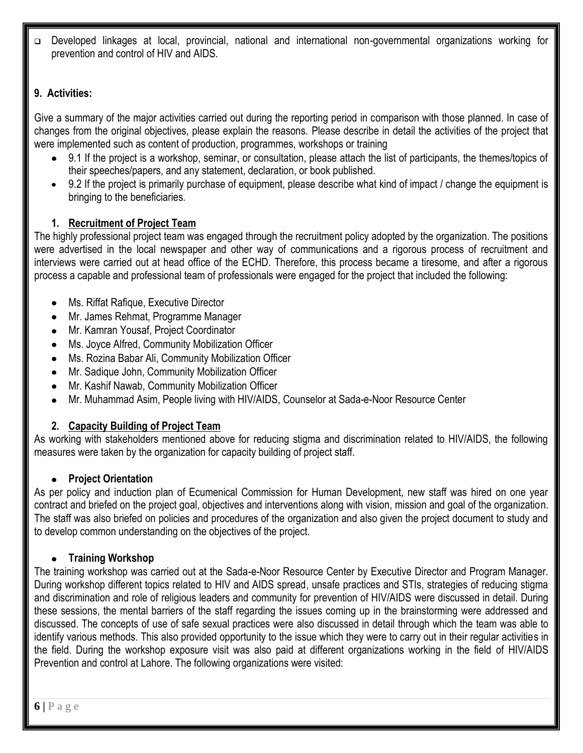Developed linkages at local, provincial, national and international non-governmental organizations working for prevention and control of HIV and AIDS.

# **9. Activities:**

Give a summary of the major activities carried out during the reporting period in comparison with those planned. In case of changes from the original objectives, please explain the reasons. Please describe in detail the activities of the project that were implemented such as content of production, programmes, workshops or training

- 9.1 If the project is a workshop, seminar, or consultation, please attach the list of participants, the themes/topics of their speeches/papers, and any statement, declaration, or book published.
- 9.2 If the project is primarily purchase of equipment, please describe what kind of impact / change the equipment is bringing to the beneficiaries.

# **1. Recruitment of Project Team**

The highly professional project team was engaged through the recruitment policy adopted by the organization. The positions were advertised in the local newspaper and other way of communications and a rigorous process of recruitment and interviews were carried out at head office of the ECHD. Therefore, this process became a tiresome, and after a rigorous process a capable and professional team of professionals were engaged for the project that included the following:

- Ms. Riffat Rafique, Executive Director
- Mr. James Rehmat, Programme Manager
- Mr. Kamran Yousaf, Project Coordinator
- Ms. Joyce Alfred, Community Mobilization Officer
- Ms. Rozina Babar Ali, Community Mobilization Officer
- Mr. Sadique John, Community Mobilization Officer
- Mr. Kashif Nawab, Community Mobilization Officer
- Mr. Muhammad Asim, People living with HIV/AIDS, Counselor at Sada-e-Noor Resource Center

# **2. Capacity Building of Project Team**

As working with stakeholders mentioned above for reducing stigma and discrimination related to HIV/AIDS, the following measures were taken by the organization for capacity building of project staff.

## **Project Orientation**

As per policy and induction plan of Ecumenical Commission for Human Development, new staff was hired on one year contract and briefed on the project goal, objectives and interventions along with vision, mission and goal of the organization. The staff was also briefed on policies and procedures of the organization and also given the project document to study and to develop common understanding on the objectives of the project.

## **Training Workshop**

The training workshop was carried out at the Sada-e-Noor Resource Center by Executive Director and Program Manager. During workshop different topics related to HIV and AIDS spread, unsafe practices and STIs, strategies of reducing stigma and discrimination and role of religious leaders and community for prevention of HIV/AIDS were discussed in detail. During these sessions, the mental barriers of the staff regarding the issues coming up in the brainstorming were addressed and discussed. The concepts of use of safe sexual practices were also discussed in detail through which the team was able to identify various methods. This also provided opportunity to the issue which they were to carry out in their regular activities in the field. During the workshop exposure visit was also paid at different organizations working in the field of HIV/AIDS Prevention and control at Lahore. The following organizations were visited: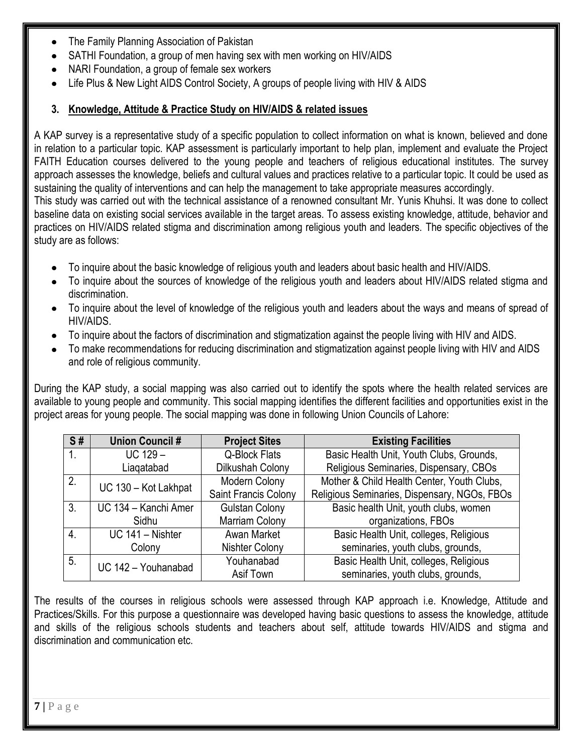- The Family Planning Association of Pakistan
- SATHI Foundation, a group of men having sex with men working on HIV/AIDS
- NARI Foundation, a group of female sex workers
- Life Plus & New Light AIDS Control Society, A groups of people living with HIV & AIDS

#### **3. Knowledge, Attitude & Practice Study on HIV/AIDS & related issues**

A KAP survey is a representative study of a specific population to collect information on what is known, believed and done in relation to a particular topic. KAP assessment is particularly important to help plan, implement and evaluate the Project FAITH Education courses delivered to the young people and teachers of religious educational institutes. The survey approach assesses the knowledge, beliefs and cultural values and practices relative to a particular topic. It could be used as sustaining the quality of interventions and can help the management to take appropriate measures accordingly. This study was carried out with the technical assistance of a renowned consultant Mr. Yunis Khuhsi. It was done to collect baseline data on existing social services available in the target areas. To assess existing knowledge, attitude, behavior and practices on HIV/AIDS related stigma and discrimination among religious youth and leaders. The specific objectives of the study are as follows:

- To inquire about the basic knowledge of religious youth and leaders about basic health and HIV/AIDS.
- To inquire about the sources of knowledge of the religious youth and leaders about HIV/AIDS related stigma and discrimination.
- To inquire about the level of knowledge of the religious youth and leaders about the ways and means of spread of HIV/AIDS.
- To inquire about the factors of discrimination and stigmatization against the people living with HIV and AIDS.
- To make recommendations for reducing discrimination and stigmatization against people living with HIV and AIDS and role of religious community.

During the KAP study, a social mapping was also carried out to identify the spots where the health related services are available to young people and community. This social mapping identifies the different facilities and opportunities exist in the project areas for young people. The social mapping was done in following Union Councils of Lahore:

| S#               | <b>Union Council #</b> | <b>Project Sites</b>  | <b>Existing Facilities</b>                   |
|------------------|------------------------|-----------------------|----------------------------------------------|
| 1.               | $UC 129 -$             | Q-Block Flats         | Basic Health Unit, Youth Clubs, Grounds,     |
|                  | Liagatabad             | Dilkushah Colony      | Religious Seminaries, Dispensary, CBOs       |
| 2.               | UC 130 - Kot Lakhpat   | Modern Colony         | Mother & Child Health Center, Youth Clubs,   |
|                  |                        | Saint Francis Colony  | Religious Seminaries, Dispensary, NGOs, FBOs |
| 3 <sub>1</sub>   | UC 134 - Kanchi Amer   | <b>Gulstan Colony</b> | Basic health Unit, youth clubs, women        |
|                  | Sidhu                  | Marriam Colony        | organizations, FBOs                          |
| $\overline{4}$ . | UC 141 - Nishter       | Awan Market           | Basic Health Unit, colleges, Religious       |
|                  | Colony                 | <b>Nishter Colony</b> | seminaries, youth clubs, grounds,            |
| 5.               | UC 142 - Youhanabad    | Youhanabad            | Basic Health Unit, colleges, Religious       |
|                  |                        | Asif Town             | seminaries, youth clubs, grounds,            |

The results of the courses in religious schools were assessed through KAP approach i.e. Knowledge, Attitude and Practices/Skills. For this purpose a questionnaire was developed having basic questions to assess the knowledge, attitude and skills of the religious schools students and teachers about self, attitude towards HIV/AIDS and stigma and discrimination and communication etc.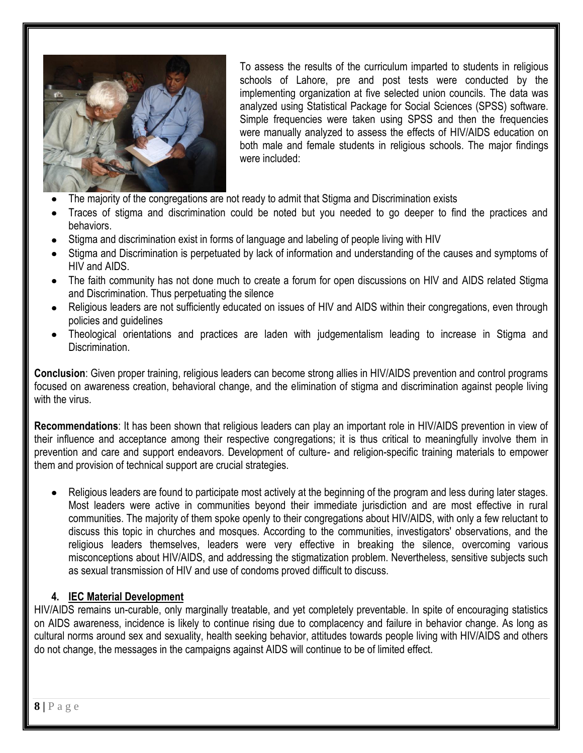

To assess the results of the curriculum imparted to students in religious schools of Lahore, pre and post tests were conducted by the implementing organization at five selected union councils. The data was analyzed using Statistical Package for Social Sciences (SPSS) software. Simple frequencies were taken using SPSS and then the frequencies were manually analyzed to assess the effects of HIV/AIDS education on both male and female students in religious schools. The major findings were included:

- The majority of the congregations are not ready to admit that Stigma and Discrimination exists
- Traces of stigma and discrimination could be noted but you needed to go deeper to find the practices and behaviors.
- Stigma and discrimination exist in forms of language and labeling of people living with HIV
- Stigma and Discrimination is perpetuated by lack of information and understanding of the causes and symptoms of HIV and AIDS.
- The faith community has not done much to create a forum for open discussions on HIV and AIDS related Stigma and Discrimination. Thus perpetuating the silence
- Religious leaders are not sufficiently educated on issues of HIV and AIDS within their congregations, even through policies and guidelines
- Theological orientations and practices are laden with judgementalism leading to increase in Stigma and Discrimination.

**Conclusion**: Given proper training, religious leaders can become strong allies in HIV/AIDS prevention and control programs focused on awareness creation, behavioral change, and the elimination of stigma and discrimination against people living with the virus.

**Recommendations**: It has been shown that religious leaders can play an important role in HIV/AIDS prevention in view of their influence and acceptance among their respective congregations; it is thus critical to meaningfully involve them in prevention and care and support endeavors. Development of culture- and religion-specific training materials to empower them and provision of technical support are crucial strategies.

Religious leaders are found to participate most actively at the beginning of the program and less during later stages. Most leaders were active in communities beyond their immediate jurisdiction and are most effective in rural communities. The majority of them spoke openly to their congregations about HIV/AIDS, with only a few reluctant to discuss this topic in churches and mosques. According to the communities, investigators' observations, and the religious leaders themselves, leaders were very effective in breaking the silence, overcoming various misconceptions about HIV/AIDS, and addressing the stigmatization problem. Nevertheless, sensitive subjects such as sexual transmission of HIV and use of condoms proved difficult to discuss.

#### **4. IEC Material Development**

HIV/AIDS remains un-curable, only marginally treatable, and yet completely preventable. In spite of encouraging statistics on AIDS awareness, incidence is likely to continue rising due to complacency and failure in behavior change. As long as cultural norms around sex and sexuality, health seeking behavior, attitudes towards people living with HIV/AIDS and others do not change, the messages in the campaigns against AIDS will continue to be of limited effect.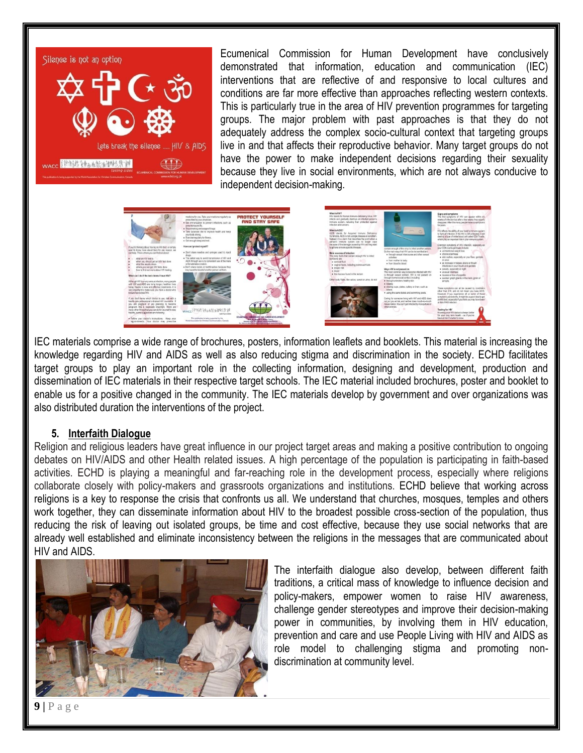

Ecumenical Commission for Human Development have conclusively demonstrated that information, education and communication (IEC) interventions that are reflective of and responsive to local cultures and conditions are far more effective than approaches reflecting western contexts. This is particularly true in the area of HIV prevention programmes for targeting groups. The major problem with past approaches is that they do not adequately address the complex socio-cultural context that targeting groups live in and that affects their reproductive behavior. Many target groups do not have the power to make independent decisions regarding their sexuality because they live in social environments, which are not always conducive to independent decision-making.



IEC materials comprise a wide range of brochures, posters, information leaflets and booklets. This material is increasing the knowledge regarding HIV and AIDS as well as also reducing stigma and discrimination in the society. ECHD facilitates target groups to play an important role in the collecting information, designing and development, production and dissemination of IEC materials in their respective target schools. The IEC material included brochures, poster and booklet to enable us for a positive changed in the community. The IEC materials develop by government and over organizations was also distributed duration the interventions of the project.

#### **5. Interfaith Dialogue**

Religion and religious leaders have great influence in our project target areas and making a positive contribution to ongoing debates on HIV/AIDS and other Health related issues. A high percentage of the population is participating in faith-based activities. ECHD is playing a meaningful and far-reaching role in the development process, especially where religions collaborate closely with policy-makers and grassroots organizations and institutions. ECHD believe that working across religions is a key to response the crisis that confronts us all. We understand that churches, mosques, temples and others work together, they can disseminate information about HIV to the broadest possible cross-section of the population, thus reducing the risk of leaving out isolated groups, be time and cost effective, because they use social networks that are already well established and eliminate inconsistency between the religions in the messages that are communicated about HIV and AIDS.



The interfaith dialogue also develop, between different faith traditions, a critical mass of knowledge to influence decision and policy-makers, empower women to raise HIV awareness, challenge gender stereotypes and improve their decision-making power in communities, by involving them in HIV education, prevention and care and use People Living with HIV and AIDS as role model to challenging stigma and promoting nondiscrimination at community level.

**9 |** P a g e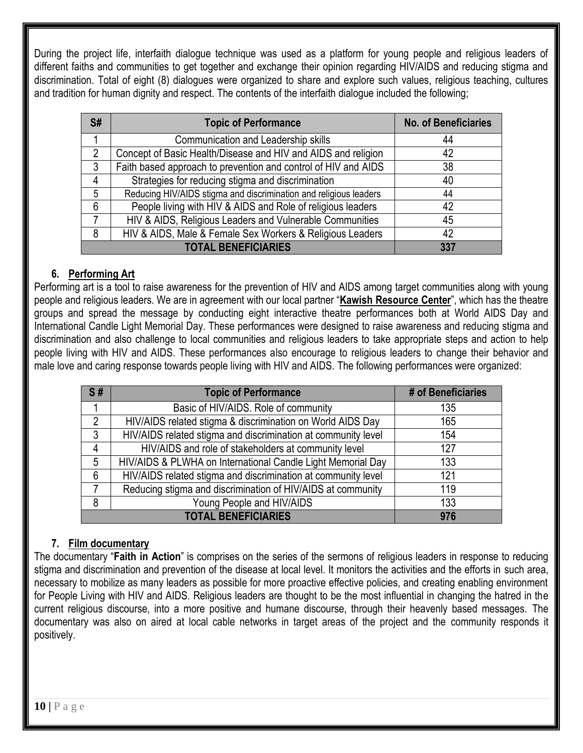During the project life, interfaith dialogue technique was used as a platform for young people and religious leaders of different faiths and communities to get together and exchange their opinion regarding HIV/AIDS and reducing stigma and discrimination. Total of eight (8) dialogues were organized to share and explore such values, religious teaching, cultures and tradition for human dignity and respect. The contents of the interfaith dialogue included the following;

| S# | <b>Topic of Performance</b>                                       | <b>No. of Beneficiaries</b> |
|----|-------------------------------------------------------------------|-----------------------------|
|    | Communication and Leadership skills                               | 44                          |
| 2  | Concept of Basic Health/Disease and HIV and AIDS and religion     | 42                          |
| 3  | Faith based approach to prevention and control of HIV and AIDS    | 38                          |
| 4  | Strategies for reducing stigma and discrimination                 | 40                          |
| 5  | Reducing HIV/AIDS stigma and discrimination and religious leaders | 44                          |
| 6  | People living with HIV & AIDS and Role of religious leaders       | 42                          |
| 7  | HIV & AIDS, Religious Leaders and Vulnerable Communities          | 45                          |
| 8  | HIV & AIDS, Male & Female Sex Workers & Religious Leaders         | 42                          |
|    | <b>TOTAL BENEFICIARIES</b>                                        | 337                         |

# **6. Performing Art**

Performing art is a tool to raise awareness for the prevention of HIV and AIDS among target communities along with young people and religious leaders. We are in agreement with our local partner "**Kawish Resource Center**", which has the theatre groups and spread the message by conducting eight interactive theatre performances both at World AIDS Day and International Candle Light Memorial Day. These performances were designed to raise awareness and reducing stigma and discrimination and also challenge to local communities and religious leaders to take appropriate steps and action to help people living with HIV and AIDS. These performances also encourage to religious leaders to change their behavior and male love and caring response towards people living with HIV and AIDS. The following performances were organized:

| S#             | <b>Topic of Performance</b>                                   | # of Beneficiaries |
|----------------|---------------------------------------------------------------|--------------------|
|                | Basic of HIV/AIDS. Role of community                          | 135                |
| 2              | HIV/AIDS related stigma & discrimination on World AIDS Day    | 165                |
| $\mathbf{3}$   | HIV/AIDS related stigma and discrimination at community level | 154                |
| 4              | HIV/AIDS and role of stakeholders at community level          | 127                |
| 5              | HIV/AIDS & PLWHA on International Candle Light Memorial Day   | 133                |
| 6              | HIV/AIDS related stigma and discrimination at community level | 121                |
| $\overline{7}$ | Reducing stigma and discrimination of HIV/AIDS at community   | 119                |
| 8              | Young People and HIV/AIDS                                     | 133                |
|                | <b>TOTAL BENEFICIARIES</b>                                    | 976                |

## **7. Film documentary**

The documentary "**Faith in Action**" is comprises on the series of the sermons of religious leaders in response to reducing stigma and discrimination and prevention of the disease at local level. It monitors the activities and the efforts in such area, necessary to mobilize as many leaders as possible for more proactive effective policies, and creating enabling environment for People Living with HIV and AIDS. Religious leaders are thought to be the most influential in changing the hatred in the current religious discourse, into a more positive and humane discourse, through their heavenly based messages. The documentary was also on aired at local cable networks in target areas of the project and the community responds it positively.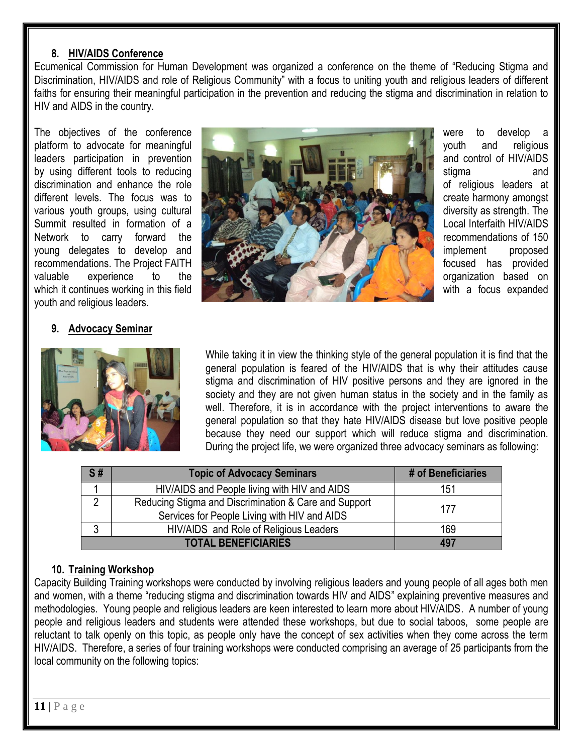#### **8. HIV/AIDS Conference**

Ecumenical Commission for Human Development was organized a conference on the theme of "Reducing Stigma and Discrimination, HIV/AIDS and role of Religious Community" with a focus to uniting youth and religious leaders of different faiths for ensuring their meaningful participation in the prevention and reducing the stigma and discrimination in relation to HIV and AIDS in the country.

youth and religious leaders.

#### **9. Advocacy Seminar**





While taking it in view the thinking style of the general population it is find that the general population is feared of the HIV/AIDS that is why their attitudes cause stigma and discrimination of HIV positive persons and they are ignored in the society and they are not given human status in the society and in the family as well. Therefore, it is in accordance with the project interventions to aware the general population so that they hate HIV/AIDS disease but love positive people because they need our support which will reduce stigma and discrimination. During the project life, we were organized three advocacy seminars as following:

| S# | <b>Topic of Advocacy Seminars</b>                                                                     | # of Beneficiaries |
|----|-------------------------------------------------------------------------------------------------------|--------------------|
|    | HIV/AIDS and People living with HIV and AIDS                                                          | 151                |
|    | Reducing Stigma and Discrimination & Care and Support<br>Services for People Living with HIV and AIDS | 177                |
|    | HIV/AIDS and Role of Religious Leaders                                                                | 169                |
|    | <b>TOTAL BENEFICIARIES</b>                                                                            | 497                |

#### **10. Training Workshop**

Capacity Building Training workshops were conducted by involving religious leaders and young people of all ages both men and women, with a theme "reducing stigma and discrimination towards HIV and AIDS" explaining preventive measures and methodologies. Young people and religious leaders are keen interested to learn more about HIV/AIDS. A number of young people and religious leaders and students were attended these workshops, but due to social taboos, some people are reluctant to talk openly on this topic, as people only have the concept of sex activities when they come across the term HIV/AIDS. Therefore, a series of four training workshops were conducted comprising an average of 25 participants from the local community on the following topics: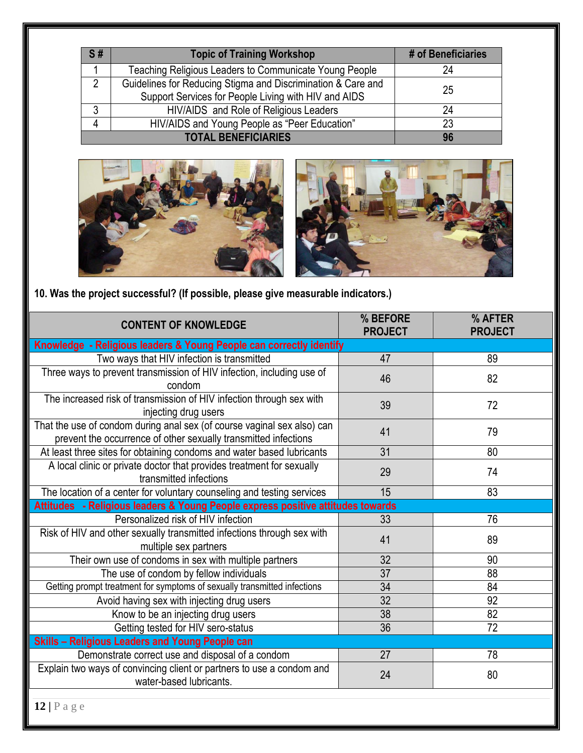| S#                         | <b>Topic of Training Workshop</b>                            | # of Beneficiaries |
|----------------------------|--------------------------------------------------------------|--------------------|
|                            | Teaching Religious Leaders to Communicate Young People       | 24                 |
| $\mathfrak{p}$             | Guidelines for Reducing Stigma and Discrimination & Care and | 25                 |
|                            | Support Services for People Living with HIV and AIDS         |                    |
| ົ                          | HIV/AIDS and Role of Religious Leaders                       | 24                 |
| 4                          | HIV/AIDS and Young People as "Peer Education"                | 23                 |
| <b>TOTAL BENEFICIARIES</b> |                                                              | 96                 |





**10. Was the project successful? (If possible, please give measurable indicators.)**

| <b>CONTENT OF KNOWLEDGE</b>                                                                                                                | % BEFORE<br><b>PROJECT</b> | % AFTER<br><b>PROJECT</b> |
|--------------------------------------------------------------------------------------------------------------------------------------------|----------------------------|---------------------------|
| Knowledge - Religious leaders & Young People can correctly identify                                                                        |                            |                           |
| Two ways that HIV infection is transmitted                                                                                                 | 47                         | 89                        |
| Three ways to prevent transmission of HIV infection, including use of<br>condom                                                            | 46                         | 82                        |
| The increased risk of transmission of HIV infection through sex with<br>injecting drug users                                               | 39                         | 72                        |
| That the use of condom during anal sex (of course vaginal sex also) can<br>prevent the occurrence of other sexually transmitted infections | 41                         | 79                        |
| At least three sites for obtaining condoms and water based lubricants                                                                      | 31                         | 80                        |
| A local clinic or private doctor that provides treatment for sexually<br>transmitted infections                                            | 29                         | 74                        |
| The location of a center for voluntary counseling and testing services                                                                     | 15                         | 83                        |
| Attitudes - Religious leaders & Young People express positive attitudes towards                                                            |                            |                           |
| Personalized risk of HIV infection                                                                                                         | 33                         | 76                        |
| Risk of HIV and other sexually transmitted infections through sex with<br>multiple sex partners                                            | 41                         | 89                        |
| Their own use of condoms in sex with multiple partners                                                                                     | 32                         | 90                        |
| The use of condom by fellow individuals                                                                                                    | $\overline{37}$            | 88                        |
| Getting prompt treatment for symptoms of sexually transmitted infections                                                                   | $\overline{34}$            | 84                        |
| Avoid having sex with injecting drug users                                                                                                 | $\overline{32}$            | 92                        |
| Know to be an injecting drug users                                                                                                         | 38                         | 82                        |
| Getting tested for HIV sero-status                                                                                                         | $\overline{36}$            | 72                        |
| <b>Skills - Religious Leaders and Young People can</b>                                                                                     |                            |                           |
| Demonstrate correct use and disposal of a condom                                                                                           | 27                         | 78                        |
| Explain two ways of convincing client or partners to use a condom and<br>water-based lubricants.                                           | 24                         | 80                        |
| $12   P \text{ a } g \text{ e}$                                                                                                            |                            |                           |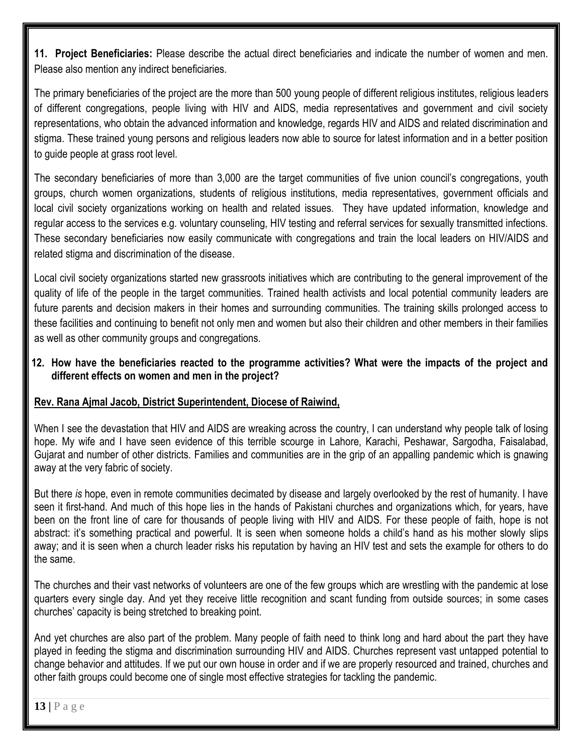**11. Project Beneficiaries:** Please describe the actual direct beneficiaries and indicate the number of women and men. Please also mention any indirect beneficiaries.

The primary beneficiaries of the project are the more than 500 young people of different religious institutes, religious leaders of different congregations, people living with HIV and AIDS, media representatives and government and civil society representations, who obtain the advanced information and knowledge, regards HIV and AIDS and related discrimination and stigma. These trained young persons and religious leaders now able to source for latest information and in a better position to guide people at grass root level.

The secondary beneficiaries of more than 3,000 are the target communities of five union council's congregations, youth groups, church women organizations, students of religious institutions, media representatives, government officials and local civil society organizations working on health and related issues. They have updated information, knowledge and regular access to the services e.g. voluntary counseling, HIV testing and referral services for sexually transmitted infections. These secondary beneficiaries now easily communicate with congregations and train the local leaders on HIV/AIDS and related stigma and discrimination of the disease.

Local civil society organizations started new grassroots initiatives which are contributing to the general improvement of the quality of life of the people in the target communities. Trained health activists and local potential community leaders are future parents and decision makers in their homes and surrounding communities. The training skills prolonged access to these facilities and continuing to benefit not only men and women but also their children and other members in their families as well as other community groups and congregations.

#### **12. How have the beneficiaries reacted to the programme activities? What were the impacts of the project and different effects on women and men in the project?**

## **Rev. Rana Ajmal Jacob, District Superintendent, Diocese of Raiwind,**

When I see the devastation that HIV and AIDS are wreaking across the country, I can understand why people talk of losing hope. My wife and I have seen evidence of this terrible scourge in Lahore, Karachi, Peshawar, Sargodha, Faisalabad, Gujarat and number of other districts. Families and communities are in the grip of an appalling pandemic which is gnawing away at the very fabric of society.

But there *is* hope, even in remote communities decimated by disease and largely overlooked by the rest of humanity. I have seen it first-hand. And much of this hope lies in the hands of Pakistani churches and organizations which, for years, have been on the front line of care for thousands of people living with HIV and AIDS. For these people of faith, hope is not abstract: it's something practical and powerful. It is seen when someone holds a child's hand as his mother slowly slips away; and it is seen when a church leader risks his reputation by having an HIV test and sets the example for others to do the same.

The churches and their vast networks of volunteers are one of the few groups which are wrestling with the pandemic at lose quarters every single day. And yet they receive little recognition and scant funding from outside sources; in some cases churches' capacity is being stretched to breaking point.

And yet churches are also part of the problem. Many people of faith need to think long and hard about the part they have played in feeding the stigma and discrimination surrounding HIV and AIDS. Churches represent vast untapped potential to change behavior and attitudes. If we put our own house in order and if we are properly resourced and trained, churches and other faith groups could become one of single most effective strategies for tackling the pandemic.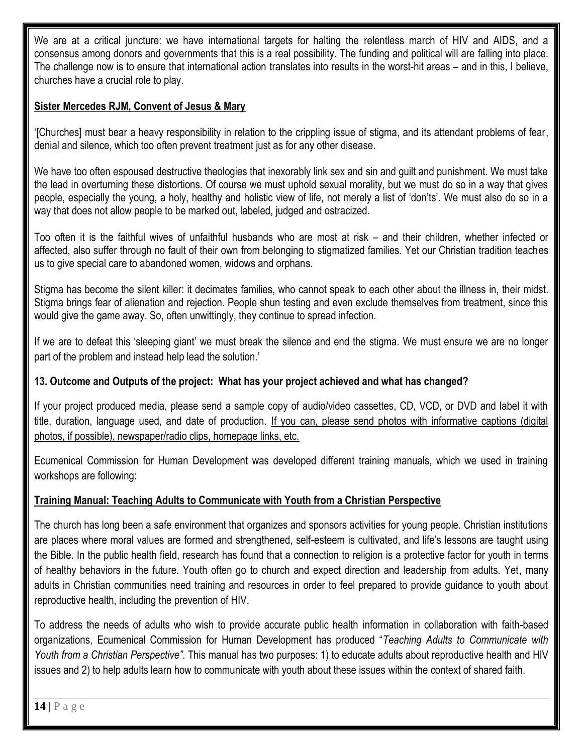We are at a critical juncture: we have international targets for halting the relentless march of HIV and AIDS, and a consensus among donors and governments that this is a real possibility. The funding and political will are falling into place. The challenge now is to ensure that international action translates into results in the worst-hit areas – and in this, I believe, churches have a crucial role to play.

## **Sister Mercedes RJM, Convent of Jesus & Mary**

'[Churches] must bear a heavy responsibility in relation to the crippling issue of stigma, and its attendant problems of fear, denial and silence, which too often prevent treatment just as for any other disease.

We have too often espoused destructive theologies that inexorably link sex and sin and guilt and punishment. We must take the lead in overturning these distortions. Of course we must uphold sexual morality, but we must do so in a way that gives people, especially the young, a holy, healthy and holistic view of life, not merely a list of 'don'ts'. We must also do so in a way that does not allow people to be marked out, labeled, judged and ostracized.

Too often it is the faithful wives of unfaithful husbands who are most at risk – and their children, whether infected or affected, also suffer through no fault of their own from belonging to stigmatized families. Yet our Christian tradition teaches us to give special care to abandoned women, widows and orphans.

Stigma has become the silent killer: it decimates families, who cannot speak to each other about the illness in, their midst. Stigma brings fear of alienation and rejection. People shun testing and even exclude themselves from treatment, since this would give the game away. So, often unwittingly, they continue to spread infection.

If we are to defeat this 'sleeping giant' we must break the silence and end the stigma. We must ensure we are no longer part of the problem and instead help lead the solution.'

## **13. Outcome and Outputs of the project: What has your project achieved and what has changed?**

If your project produced media, please send a sample copy of audio/video cassettes, CD, VCD, or DVD and label it with title, duration, language used, and date of production. If you can, please send photos with informative captions (digital photos, if possible), newspaper/radio clips, homepage links, etc.

Ecumenical Commission for Human Development was developed different training manuals, which we used in training workshops are following:

## **Training Manual: Teaching Adults to Communicate with Youth from a Christian Perspective**

The church has long been a safe environment that organizes and sponsors activities for young people. Christian institutions are places where moral values are formed and strengthened, self-esteem is cultivated, and life's lessons are taught using the Bible. In the public health field, research has found that a connection to religion is a protective factor for youth in terms of healthy behaviors in the future. Youth often go to church and expect direction and leadership from adults. Yet, many adults in Christian communities need training and resources in order to feel prepared to provide guidance to youth about reproductive health, including the prevention of HIV.

To address the needs of adults who wish to provide accurate public health information in collaboration with faith-based organizations, Ecumenical Commission for Human Development has produced "*Teaching Adults to Communicate with Youth from a Christian Perspective"*. This manual has two purposes: 1) to educate adults about reproductive health and HIV issues and 2) to help adults learn how to communicate with youth about these issues within the context of shared faith.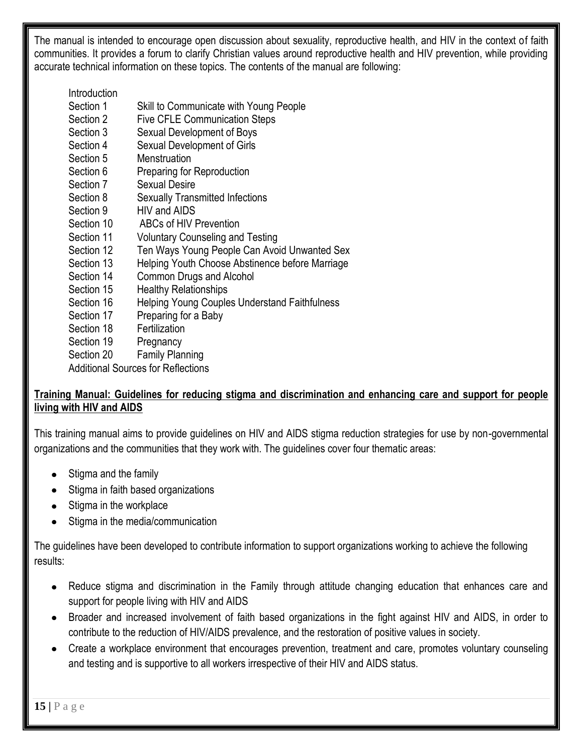The manual is intended to encourage open discussion about sexuality, reproductive health, and HIV in the context of faith communities. It provides a forum to clarify Christian values around reproductive health and HIV prevention, while providing accurate technical information on these topics. The contents of the manual are following:

# **Introduction**

- Section 1 Skill to Communicate with Young People
- Section 2 Five CFLE Communication Steps
- Section 3 Sexual Development of Boys
- Section 4 Sexual Development of Girls
- Section 5 Menstruation
- Section 6 Preparing for Reproduction
- Section 7 Sexual Desire
- Section 8 Sexually Transmitted Infections
- Section 9 HIV and AIDS
- Section 10 ABCs of HIV Prevention
- Section 11 Voluntary Counseling and Testing
- Section 12 Ten Ways Young People Can Avoid Unwanted Sex
- Section 13 Helping Youth Choose Abstinence before Marriage
- Section 14 Common Drugs and Alcohol
- Section 15 Healthy Relationships
- Section 16 Helping Young Couples Understand Faithfulness
- Section 17 Preparing for a Baby
- Section 18 Fertilization
- Section 19 Pregnancy
- Section 20 Family Planning

Additional Sources for Reflections

## **Training Manual: Guidelines for reducing stigma and discrimination and enhancing care and support for people living with HIV and AIDS**

This training manual aims to provide guidelines on HIV and AIDS stigma reduction strategies for use by non-governmental organizations and the communities that they work with. The guidelines cover four thematic areas:

- Stigma and the family
- Stigma in faith based organizations
- Stigma in the workplace
- Stigma in the media/communication

The guidelines have been developed to contribute information to support organizations working to achieve the following results:

- Reduce stigma and discrimination in the Family through attitude changing education that enhances care and support for people living with HIV and AIDS
- Broader and increased involvement of faith based organizations in the fight against HIV and AIDS, in order to contribute to the reduction of HIV/AIDS prevalence, and the restoration of positive values in society.
- Create a workplace environment that encourages prevention, treatment and care, promotes voluntary counseling and testing and is supportive to all workers irrespective of their HIV and AIDS status.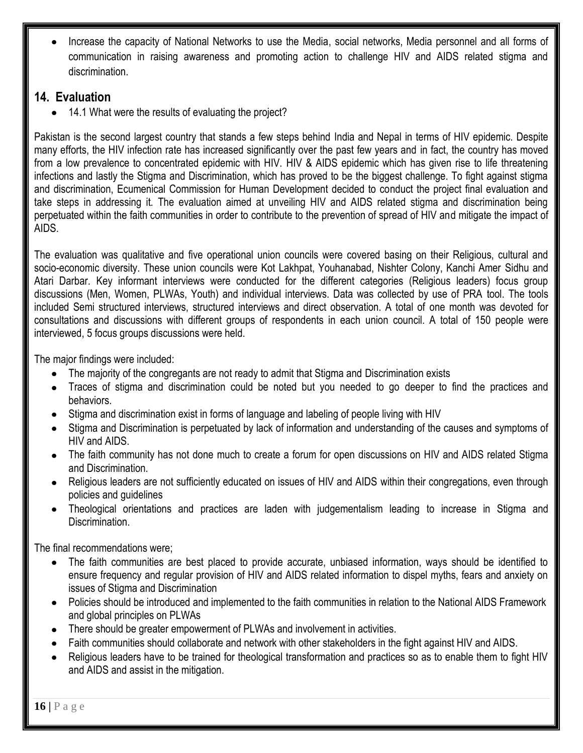Increase the capacity of National Networks to use the Media, social networks, Media personnel and all forms of communication in raising awareness and promoting action to challenge HIV and AIDS related stigma and discrimination.

# **14. Evaluation**

• 14.1 What were the results of evaluating the project?

Pakistan is the second largest country that stands a few steps behind India and Nepal in terms of HIV epidemic. Despite many efforts, the HIV infection rate has increased significantly over the past few years and in fact, the country has moved from a low prevalence to concentrated epidemic with HIV. HIV & AIDS epidemic which has given rise to life threatening infections and lastly the Stigma and Discrimination, which has proved to be the biggest challenge. To fight against stigma and discrimination, Ecumenical Commission for Human Development decided to conduct the project final evaluation and take steps in addressing it. The evaluation aimed at unveiling HIV and AIDS related stigma and discrimination being perpetuated within the faith communities in order to contribute to the prevention of spread of HIV and mitigate the impact of AIDS.

The evaluation was qualitative and five operational union councils were covered basing on their Religious, cultural and socio-economic diversity. These union councils were Kot Lakhpat, Youhanabad, Nishter Colony, Kanchi Amer Sidhu and Atari Darbar. Key informant interviews were conducted for the different categories (Religious leaders) focus group discussions (Men, Women, PLWAs, Youth) and individual interviews. Data was collected by use of PRA tool. The tools included Semi structured interviews, structured interviews and direct observation. A total of one month was devoted for consultations and discussions with different groups of respondents in each union council. A total of 150 people were interviewed, 5 focus groups discussions were held.

The major findings were included:

- The majority of the congregants are not ready to admit that Stigma and Discrimination exists
- Traces of stigma and discrimination could be noted but you needed to go deeper to find the practices and  $\bullet$ behaviors.
- Stigma and discrimination exist in forms of language and labeling of people living with HIV
- Stigma and Discrimination is perpetuated by lack of information and understanding of the causes and symptoms of HIV and AIDS.
- The faith community has not done much to create a forum for open discussions on HIV and AIDS related Stigma and Discrimination.
- Religious leaders are not sufficiently educated on issues of HIV and AIDS within their congregations, even through policies and guidelines
- Theological orientations and practices are laden with judgementalism leading to increase in Stigma and Discrimination.

The final recommendations were;

- The faith communities are best placed to provide accurate, unbiased information, ways should be identified to ensure frequency and regular provision of HIV and AIDS related information to dispel myths, fears and anxiety on issues of Stigma and Discrimination
- Policies should be introduced and implemented to the faith communities in relation to the National AIDS Framework and global principles on PLWAs
- There should be greater empowerment of PLWAs and involvement in activities.
- Faith communities should collaborate and network with other stakeholders in the fight against HIV and AIDS.
- Religious leaders have to be trained for theological transformation and practices so as to enable them to fight HIV and AIDS and assist in the mitigation.